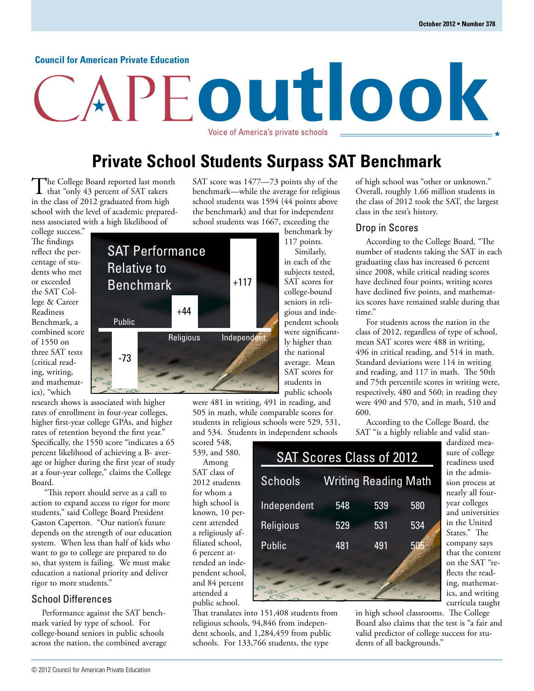#### **Council for American Private Education**

# **outlook** Voice of America's private schools

## **Private School Students Surpass SAT Benchmark**

The College Board reported last month<br>that "only 43 percent of SAT takers" in the class of 2012 graduated from high school with the level of academic preparedness associated with a high likelihood of

SAT Performance

college success." The findings reflect the percentage of students who met or exceeded the SAT College & Career Readiness Benchmark, a combined score of 1550 on three SAT tests (critical reading, writing, and mathematics), "which

research shows is associated with higher rates of enrollment in four-year colleges, higher first-year college GPAs, and higher rates of retention beyond the first year." Specifically, the 1550 score "indicates a 65 percent likelihood of achieving a B- average or higher during the first year of study at a four-year college," claims the College Board.

 "This report should serve as a call to action to expand access to rigor for more students," said College Board President Gaston Caperton. "Our nation's future depends on the strength of our education system. When less than half of kids who want to go to college are prepared to do so, that system is failing. We must make education a national priority and deliver rigor to more students."

#### School Differences

Performance against the SAT benchmark varied by type of school. For college-bound seniors in public schools across the nation, the combined average SAT score was 1477—73 points shy of the benchmark—while the average for religious school students was 1594 (44 points above the benchmark) and that for independent school students was 1667, exceeding the

benchmark by 117 points.

Similarly, in each of the subjects tested, SAT scores for college-bound seniors in religious and independent schools were significantly higher than the national average. Mean SAT scores for students in public schools

SAT Scores Class of 2012

Schools Writing Reading Math

548

529

481

were 481 in writing, 491 in reading, and 505 in math, while comparable scores for students in religious schools were 529, 531, and 534. Students in independent schools

Independent

**Religious** 

Public

scored 548, 539, and 580. Among SAT class of 2012 students for whom a high school is known, 10 percent attended a religiously affiliated school, 6 percent attended an independent school, and 84 percent attended a public school.

That translates into 151,408 students from religious schools, 94,846 from independent schools, and 1,284,459 from public schools. For 133,766 students, the type

of high school was "other or unknown." Overall, roughly 1.66 million students in the class of 2012 took the SAT, the largest class in the test's history.

#### Drop in Scores

According to the College Board, "The number of students taking the SAT in each graduating class has increased 6 percent since 2008, while critical reading scores have declined four points, writing scores have declined five points, and mathematics scores have remained stable during that time."

For students across the nation in the class of 2012, regardless of type of school, mean SAT scores were 488 in writing, 496 in critical reading, and 514 in math. Standard deviations were 114 in writing and reading, and 117 in math. The 50th and 75th percentile scores in writing were, respectively, 480 and 560; in reading they were 490 and 570, and in math, 510 and 600.

According to the College Board, the SAT "is a highly reliable and valid stan-

580

539

531

491

534

505

readiness used sion process at nearly all fouryear colleges and universities in the United States." The that the content on the SAT "reflects the reading, mathematics, and writing curricula taught

in high school classrooms. The College Board also claims that the test is "a fair and valid predictor of college success for students of all backgrounds."

dardized measure of college in the admiscompany says

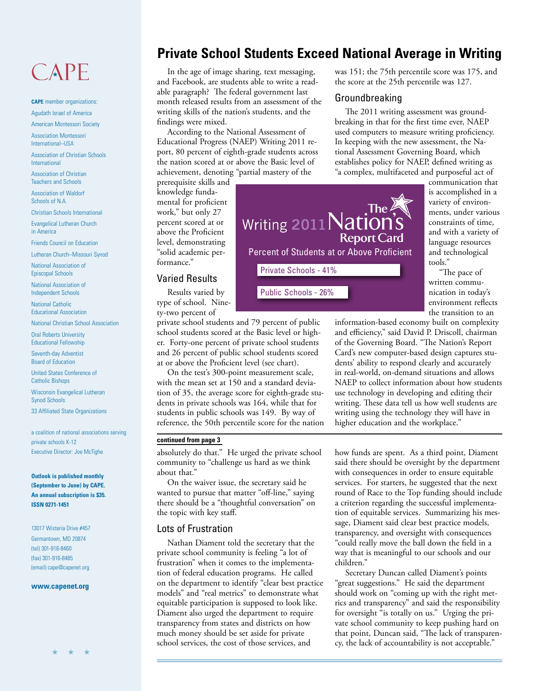## CAPE

**CAPE** member organizations: Agudath Israel of America

American Montessori Society

Association Montessori International–USA

Association of Christian Schools International

Association of Christian Teachers and Schools

Association of Waldorf Schools of N.A.

Christian Schools International

Evangelical Lutheran Church in America

Friends Council on Education

Lutheran Church–Missouri Synod

National Association of Episcopal Schools

National Association of Independent Schools

National Catholic Educational Association

National Christian School Association

Oral Roberts University Educational Fellowship

Seventh-day Adventist Board of Education

United States Conference of Catholic Bishops

Wisconsin Evangelical Lutheran Synod Schools

33 Affiliated State Organizations

a coalition of national associations serving private schools K-12 Executive Director: Joe McTighe

**Outlook is published monthly (September to June) by CAPE. An annual subscription is \$35. ISSN 0271-1451**

13017 Wisteria Drive #457 Germantown, MD 20874 (tel) 301-916-8460 (fax) 301-916-8485 (email) cape@capenet.org

#### **www.capenet.org**

## **Private School Students Exceed National Average in Writing**

In the age of image sharing, text messaging, and Facebook, are students able to write a readable paragraph? The federal government last month released results from an assessment of the writing skills of the nation's students, and the findings were mixed.

According to the National Assessment of Educational Progress (NAEP) Writing 2011 report, 80 percent of eighth-grade students across the nation scored at or above the Basic level of achievement, denoting "partial mastery of the

prerequisite skills and knowledge fundamental for proficient work," but only 27 percent scored at or above the Proficient level, demonstrating "solid academic performance."

#### Varied Results

Results varied by type of school. Ninety-two percent of

private school students and 79 percent of public school students scored at the Basic level or higher. Forty-one percent of private school students and 26 percent of public school students scored at or above the Proficient level (see chart).

On the test's 300-point measurement scale, with the mean set at 150 and a standard deviation of 35, the average score for eighth-grade students in private schools was 164, while that for students in public schools was 149. By way of reference, the 50th percentile score for the nation

#### **continued from page 3**

absolutely do that." He urged the private school community to "challenge us hard as we think about that."

On the waiver issue, the secretary said he wanted to pursue that matter "off-line," saying there should be a "thoughtful conversation" on the topic with key staff.

#### Lots of Frustration

Nathan Diament told the secretary that the private school community is feeling "a lot of frustration" when it comes to the implementation of federal education programs. He called on the department to identify "clear best practice models" and "real metrics" to demonstrate what equitable participation is supposed to look like. Diament also urged the department to require transparency from states and districts on how much money should be set aside for private school services, the cost of those services, and

was 151; the 75th percentile score was 175, and the score at the 25th percentile was 127.

#### Groundbreaking

The 2011 writing assessment was groundbreaking in that for the first time ever, NAEP used computers to measure writing proficiency. In keeping with the new assessment, the National Assessment Governing Board, which establishes policy for NAEP, defined writing as "a complex, multifaceted and purposeful act of

> communication that is accomplished in a variety of environments, under various constraints of time, and with a variety of language resources and technological tools."

"The pace of written communication in today's environment reflects the transition to an

information-based economy built on complexity and efficiency," said David P. Driscoll, chairman of the Governing Board. "The Nation's Report Card's new computer-based design captures students' ability to respond clearly and accurately in real-world, on-demand situations and allows NAEP to collect information about how students use technology in developing and editing their writing. These data tell us how well students are writing using the technology they will have in higher education and the workplace."

how funds are spent. As a third point, Diament said there should be oversight by the department with consequences in order to ensure equitable services. For starters, he suggested that the next round of Race to the Top funding should include a criterion regarding the successful implementation of equitable services. Summarizing his message, Diament said clear best practice models, transparency, and oversight with consequences "could really move the ball down the field in a way that is meaningful to our schools and our children."

Secretary Duncan called Diament's points "great suggestions." He said the department should work on "coming up with the right metrics and transparency" and said the responsibility for oversight "is totally on us." Urging the private school community to keep pushing hard on that point, Duncan said, "The lack of transparency, the lack of accountability is not acceptable."

The The The Suriting 2011 Nation's **Report Card** Percent of Students at or Above Proficient Private Schools - 41%

Public Schools - 26%



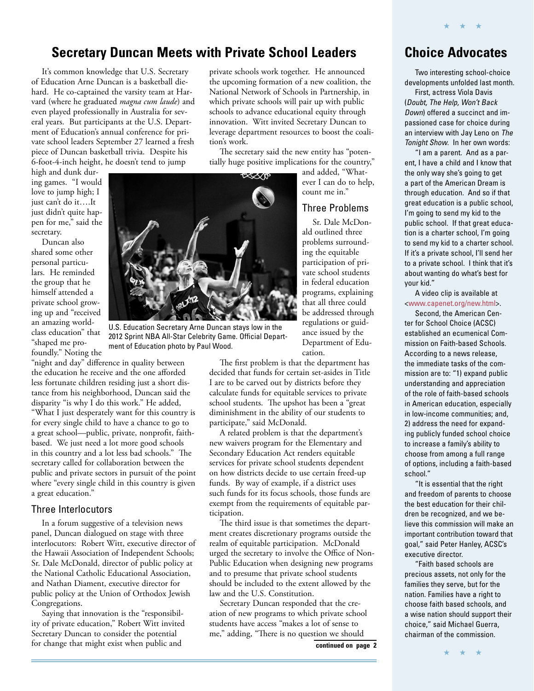### **Secretary Duncan Meets with Private School Leaders**

It's common knowledge that U.S. Secretary of Education Arne Duncan is a basketball diehard. He co-captained the varsity team at Harvard (where he graduated *magna cum laude*) and even played professionally in Australia for several years. But participants at the U.S. Department of Education's annual conference for private school leaders September 27 learned a fresh piece of Duncan basketball trivia. Despite his 6-foot-4-inch height, he doesn't tend to jump

high and dunk during games. "I would love to jump high; I just can't do it….It just didn't quite happen for me," said the secretary.

Duncan also shared some other personal particulars. He reminded the group that he himself attended a private school growing up and "received an amazing worldclass education" that "shaped me profoundly." Noting the

"night and day" difference in quality between the education he receive and the one afforded less fortunate children residing just a short distance from his neighborhood, Duncan said the disparity "is why I do this work." He added, "What I just desperately want for this country is for every single child to have a chance to go to a great school—public, private, nonprofit, faithbased. We just need a lot more good schools in this country and a lot less bad schools." The secretary called for collaboration between the public and private sectors in pursuit of the point where "every single child in this country is given a great education."

#### Three Interlocutors

In a forum suggestive of a television news panel, Duncan dialogued on stage with three interlocutors: Robert Witt, executive director of the Hawaii Association of Independent Schools; Sr. Dale McDonald, director of public policy at the National Catholic Educational Association, and Nathan Diament, executive director for public policy at the Union of Orthodox Jewish Congregations.

Saying that innovation is the "responsibility of private education," Robert Witt invited Secretary Duncan to consider the potential for change that might exist when public and

private schools work together. He announced the upcoming formation of a new coalition, the National Network of Schools in Partnership, in which private schools will pair up with public schools to advance educational equity through innovation. Witt invited Secretary Duncan to leverage department resources to boost the coalition's work.

The secretary said the new entity has "potentially huge positive implications for the country,"

and added, "Whatever I can do to help, count me in."

#### Three Problems

Sr. Dale McDonald outlined three problems surrounding the equitable participation of private school students in federal education programs, explaining that all three could be addressed through regulations or guidance issued by the Department of Education.

U.S. Education Secretary Arne Duncan stays low in the 2012 Sprint NBA All-Star Celebrity Game. Official Department of Education photo by Paul Wood.

> The first problem is that the department has decided that funds for certain set-asides in Title I are to be carved out by districts before they calculate funds for equitable services to private school students. The upshot has been a "great diminishment in the ability of our students to participate," said McDonald.

> A related problem is that the department's new waivers program for the Elementary and Secondary Education Act renders equitable services for private school students dependent on how districts decide to use certain freed-up funds. By way of example, if a district uses such funds for its focus schools, those funds are exempt from the requirements of equitable participation.

The third issue is that sometimes the department creates discretionary programs outside the realm of equitable participation. McDonald urged the secretary to involve the Office of Non-Public Education when designing new programs and to presume that private school students should be included to the extent allowed by the law and the U.S. Constitution.

Secretary Duncan responded that the creation of new programs to which private school students have access "makes a lot of sense to me," adding, "There is no question we should

**continued on page 2**

## **Choice Advocates**

★ ★ ★

Two interesting school-choice developments unfolded last month.

First, actress Viola Davis (Doubt, The Help, Won't Back Down) offered a succinct and impassioned case for choice during an interview with Jay Leno on The Tonight Show. In her own words:

"I am a parent. And as a parent, I have a child and I know that the only way she's going to get a part of the American Dream is through education. And so if that great education is a public school, I'm going to send my kid to the public school. If that great education is a charter school, I'm going to send my kid to a charter school. If it's a private school, I'll send her to a private school. I think that it's about wanting do what's best for your kid."

A video clip is available at [<www.capenet.org/new.html>.](http://www.capenet.org/new.html)

Second, the American Center for School Choice (ACSC) established an ecumenical Commission on Faith-based Schools. According to a news release, the immediate tasks of the commission are to: "1) expand public understanding and appreciation of the role of faith-based schools in American education, especially in low-income communities; and, 2) address the need for expanding publicly funded school choice to increase a family's ability to choose from among a full range of options, including a faith-based school."

"It is essential that the right and freedom of parents to choose the best education for their children be recognized, and we believe this commission will make an important contribution toward that goal," said Peter Hanley, ACSC's executive director.

"Faith based schools are precious assets, not only for the families they serve, but for the nation. Families have a right to choose faith based schools, and a wise nation should support their choice," said Michael Guerra, chairman of the commission.

★ ★ ★